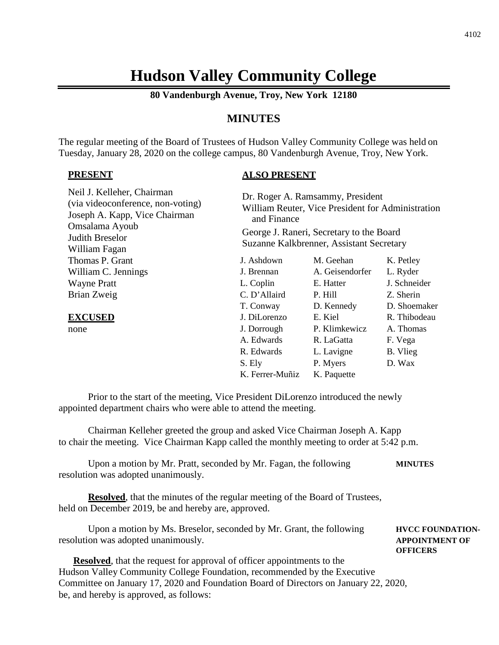# **Hudson Valley Community College**

**80 Vandenburgh Avenue, Troy, New York 12180**

# **MINUTES**

The regular meeting of the Board of Trustees of Hudson Valley Community College was held on Tuesday, January 28, 2020 on the college campus, 80 Vandenburgh Avenue, Troy, New York.

#### **PRESENT**

# **ALSO PRESENT**

| Neil J. Kelleher, Chairman<br>(via videoconference, non-voting)<br>Joseph A. Kapp, Vice Chairman<br>Omsalama Ayoub<br>Judith Breselor<br>William Fagan | and Finance     | Dr. Roger A. Ramsammy, President<br>William Reuter, Vice President for Administration<br>George J. Raneri, Secretary to the Board<br>Suzanne Kalkbrenner, Assistant Secretary |              |
|--------------------------------------------------------------------------------------------------------------------------------------------------------|-----------------|-------------------------------------------------------------------------------------------------------------------------------------------------------------------------------|--------------|
| Thomas P. Grant                                                                                                                                        | J. Ashdown      | M. Geehan                                                                                                                                                                     | K. Petley    |
| William C. Jennings                                                                                                                                    | J. Brennan      | A. Geisendorfer                                                                                                                                                               | L. Ryder     |
| <b>Wayne Pratt</b>                                                                                                                                     | L. Coplin       | E. Hatter                                                                                                                                                                     | J. Schneider |
| Brian Zweig                                                                                                                                            | C. D'Allaird    | P. Hill                                                                                                                                                                       | Z. Sherin    |
|                                                                                                                                                        | T. Conway       | D. Kennedy                                                                                                                                                                    | D. Shoemaker |
| <b>EXCUSED</b>                                                                                                                                         | J. DiLorenzo    | E. Kiel                                                                                                                                                                       | R. Thibodeau |
| none                                                                                                                                                   | J. Dorrough     | P. Klimkewicz                                                                                                                                                                 | A. Thomas    |
|                                                                                                                                                        | A. Edwards      | R. LaGatta                                                                                                                                                                    | F. Vega      |
|                                                                                                                                                        | R. Edwards      | L. Lavigne                                                                                                                                                                    | B. Vlieg     |
|                                                                                                                                                        | S. Ely          | P. Myers                                                                                                                                                                      | D. Wax       |
|                                                                                                                                                        | K. Ferrer-Muñiz | K. Paquette                                                                                                                                                                   |              |

Prior to the start of the meeting, Vice President DiLorenzo introduced the newly appointed department chairs who were able to attend the meeting.

Chairman Kelleher greeted the group and asked Vice Chairman Joseph A. Kapp to chair the meeting. Vice Chairman Kapp called the monthly meeting to order at 5:42 p.m.

Upon a motion by Mr. Pratt, seconded by Mr. Fagan, the following **MINUTES** resolution was adopted unanimously.

**Resolved**, that the minutes of the regular meeting of the Board of Trustees, held on December 2019, be and hereby are, approved.

Upon a motion by Ms. Breselor, seconded by Mr. Grant, the following **HVCC FOUNDATION**resolution was adopted unanimously. **APPOINTMENT OF OFFICERS**

**Resolved**, that the request for approval of officer appointments to the Hudson Valley Community College Foundation, recommended by the Executive Committee on January 17, 2020 and Foundation Board of Directors on January 22, 2020, be, and hereby is approved, as follows: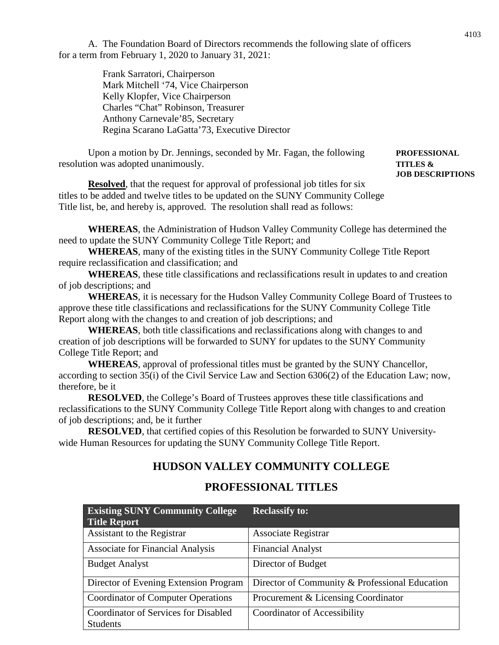A. The Foundation Board of Directors recommends the following slate of officers for a term from February 1, 2020 to January 31, 2021:

> Frank Sarratori, Chairperson Mark Mitchell '74, Vice Chairperson Kelly Klopfer, Vice Chairperson Charles "Chat" Robinson, Treasurer Anthony Carnevale'85, Secretary Regina Scarano LaGatta'73, Executive Director

Upon a motion by Dr. Jennings, seconded by Mr. Fagan, the following **PROFESSIONAL** resolution was adopted unanimously. **TITLES &**

# **JOB DESCRIPTIONS**

**Resolved**, that the request for approval of professional job titles for six titles to be added and twelve titles to be updated on the SUNY Community College Title list, be, and hereby is, approved. The resolution shall read as follows:

**WHEREAS**, the Administration of Hudson Valley Community College has determined the need to update the SUNY Community College Title Report; and

**WHEREAS**, many of the existing titles in the SUNY Community College Title Report require reclassification and classification; and

**WHEREAS**, these title classifications and reclassifications result in updates to and creation of job descriptions; and

**WHEREAS**, it is necessary for the Hudson Valley Community College Board of Trustees to approve these title classifications and reclassifications for the SUNY Community College Title Report along with the changes to and creation of job descriptions; and

**WHEREAS**, both title classifications and reclassifications along with changes to and creation of job descriptions will be forwarded to SUNY for updates to the SUNY Community College Title Report; and

**WHEREAS**, approval of professional titles must be granted by the SUNY Chancellor, according to section 35(i) of the Civil Service Law and Section 6306(2) of the Education Law; now, therefore, be it

**RESOLVED**, the College's Board of Trustees approves these title classifications and reclassifications to the SUNY Community College Title Report along with changes to and creation of job descriptions; and, be it further

**RESOLVED**, that certified copies of this Resolution be forwarded to SUNY Universitywide Human Resources for updating the SUNY Community College Title Report.

# **HUDSON VALLEY COMMUNITY COLLEGE**

# **PROFESSIONAL TITLES**

| <b>Existing SUNY Community College</b><br><b>Title Report</b>  | <b>Reclassify to:</b>                          |
|----------------------------------------------------------------|------------------------------------------------|
| Assistant to the Registrar                                     | Associate Registrar                            |
| <b>Associate for Financial Analysis</b>                        | <b>Financial Analyst</b>                       |
| <b>Budget Analyst</b>                                          | Director of Budget                             |
| Director of Evening Extension Program                          | Director of Community & Professional Education |
| <b>Coordinator of Computer Operations</b>                      | Procurement & Licensing Coordinator            |
| <b>Coordinator of Services for Disabled</b><br><b>Students</b> | <b>Coordinator of Accessibility</b>            |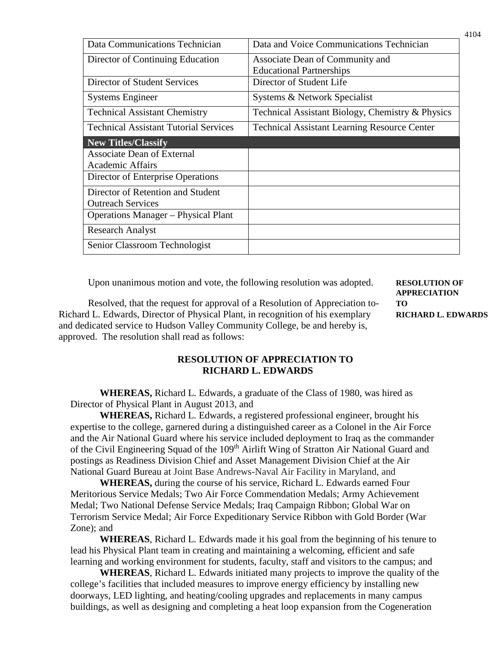| Data Communications Technician               | Data and Voice Communications Technician            |
|----------------------------------------------|-----------------------------------------------------|
| Director of Continuing Education             | Associate Dean of Community and                     |
|                                              | <b>Educational Partnerships</b>                     |
| Director of Student Services                 | Director of Student Life                            |
| <b>Systems Engineer</b>                      | Systems & Network Specialist                        |
| <b>Technical Assistant Chemistry</b>         | Technical Assistant Biology, Chemistry & Physics    |
| <b>Technical Assistant Tutorial Services</b> | <b>Technical Assistant Learning Resource Center</b> |
| New Titles/Classify                          |                                                     |
| <b>Associate Dean of External</b>            |                                                     |
| <b>Academic Affairs</b>                      |                                                     |
| Director of Enterprise Operations            |                                                     |
| Director of Retention and Student            |                                                     |
| <b>Outreach Services</b>                     |                                                     |
| <b>Operations Manager – Physical Plant</b>   |                                                     |
| <b>Research Analyst</b>                      |                                                     |
| Senior Classroom Technologist                |                                                     |

Upon unanimous motion and vote, the following resolution was adopted. **RESOLUTION OF**

Resolved, that the request for approval of a Resolution of Appreciation to- **TO** Richard L. Edwards, Director of Physical Plant, in recognition of his exemplary **RICHARD L. EDWARDS** and dedicated service to Hudson Valley Community College, be and hereby is, approved. The resolution shall read as follows:

**APPRECIATION**

# **RESOLUTION OF APPRECIATION TO RICHARD L. EDWARDS**

**WHEREAS,** Richard L. Edwards, a graduate of the Class of 1980, was hired as Director of Physical Plant in August 2013, and

**WHEREAS,** Richard L. Edwards, a registered professional engineer, brought his expertise to the college, garnered during a distinguished career as a Colonel in the Air Force and the Air National Guard where his service included deployment to Iraq as the commander of the Civil Engineering Squad of the 109<sup>th</sup> Airlift Wing of Stratton Air National Guard and postings as Readiness Division Chief and Asset Management Division Chief at the Air National Guard Bureau at Joint Base Andrews-Naval Air Facility in Maryland, and

**WHEREAS,** during the course of his service, Richard L. Edwards earned Four Meritorious Service Medals; Two Air Force Commendation Medals; Army Achievement Medal; Two National Defense Service Medals; Iraq Campaign Ribbon; Global War on Terrorism Service Medal; Air Force Expeditionary Service Ribbon with Gold Border (War Zone); and

**WHEREAS**, Richard L. Edwards made it his goal from the beginning of his tenure to lead his Physical Plant team in creating and maintaining a welcoming, efficient and safe learning and working environment for students, faculty, staff and visitors to the campus; and

**WHEREAS**, Richard L. Edwards initiated many projects to improve the quality of the college's facilities that included measures to improve energy efficiency by installing new doorways, LED lighting, and heating/cooling upgrades and replacements in many campus buildings, as well as designing and completing a heat loop expansion from the Cogeneration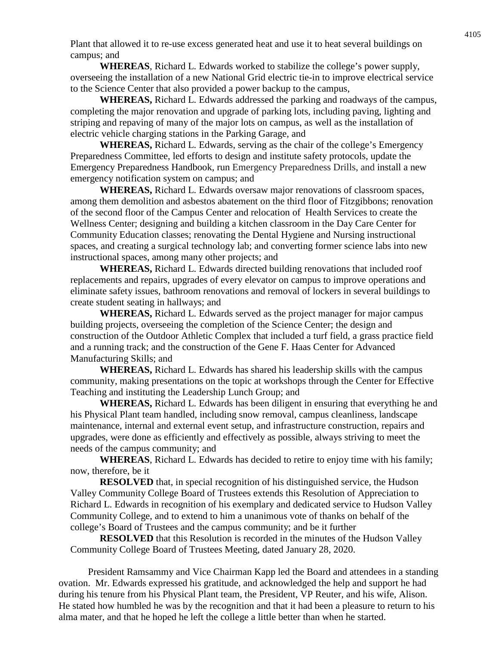Plant that allowed it to re-use excess generated heat and use it to heat several buildings on campus; and

**WHEREAS**, Richard L. Edwards worked to stabilize the college's power supply, overseeing the installation of a new National Grid electric tie-in to improve electrical service to the Science Center that also provided a power backup to the campus,

**WHEREAS,** Richard L. Edwards addressed the parking and roadways of the campus, completing the major renovation and upgrade of parking lots, including paving, lighting and striping and repaving of many of the major lots on campus, as well as the installation of electric vehicle charging stations in the Parking Garage, and

**WHEREAS,** Richard L. Edwards, serving as the chair of the college's Emergency Preparedness Committee, led efforts to design and institute safety protocols, update the Emergency Preparedness Handbook, run Emergency Preparedness Drills, and install a new emergency notification system on campus; and

**WHEREAS,** Richard L. Edwards oversaw major renovations of classroom spaces, among them demolition and asbestos abatement on the third floor of Fitzgibbons; renovation of the second floor of the Campus Center and relocation of Health Services to create the Wellness Center; designing and building a kitchen classroom in the Day Care Center for Community Education classes; renovating the Dental Hygiene and Nursing instructional spaces, and creating a surgical technology lab; and converting former science labs into new instructional spaces, among many other projects; and

**WHEREAS,** Richard L. Edwards directed building renovations that included roof replacements and repairs, upgrades of every elevator on campus to improve operations and eliminate safety issues, bathroom renovations and removal of lockers in several buildings to create student seating in hallways; and

**WHEREAS,** Richard L. Edwards served as the project manager for major campus building projects, overseeing the completion of the Science Center; the design and construction of the Outdoor Athletic Complex that included a turf field, a grass practice field and a running track; and the construction of the Gene F. Haas Center for Advanced Manufacturing Skills; and

**WHEREAS,** Richard L. Edwards has shared his leadership skills with the campus community, making presentations on the topic at workshops through the Center for Effective Teaching and instituting the Leadership Lunch Group; and

**WHEREAS,** Richard L. Edwards has been diligent in ensuring that everything he and his Physical Plant team handled, including snow removal, campus cleanliness, landscape maintenance, internal and external event setup, and infrastructure construction, repairs and upgrades, were done as efficiently and effectively as possible, always striving to meet the needs of the campus community; and

**WHEREAS**, Richard L. Edwards has decided to retire to enjoy time with his family; now, therefore, be it

**RESOLVED** that, in special recognition of his distinguished service, the Hudson Valley Community College Board of Trustees extends this Resolution of Appreciation to Richard L. Edwards in recognition of his exemplary and dedicated service to Hudson Valley Community College, and to extend to him a unanimous vote of thanks on behalf of the college's Board of Trustees and the campus community; and be it further

**RESOLVED** that this Resolution is recorded in the minutes of the Hudson Valley Community College Board of Trustees Meeting, dated January 28, 2020.

President Ramsammy and Vice Chairman Kapp led the Board and attendees in a standing ovation. Mr. Edwards expressed his gratitude, and acknowledged the help and support he had during his tenure from his Physical Plant team, the President, VP Reuter, and his wife, Alison. He stated how humbled he was by the recognition and that it had been a pleasure to return to his alma mater, and that he hoped he left the college a little better than when he started.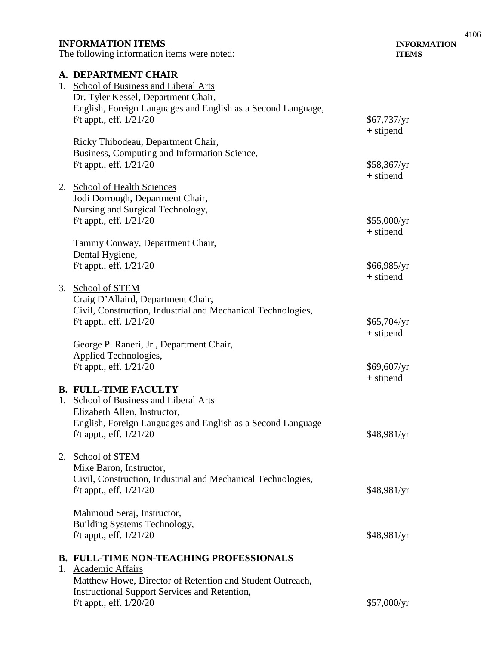### **INFORMATION ITEMS INFORMATION**

The following information items were noted: **ITEMS**

**A. DEPARTMENT CHAIR** 1. School of Business and Liberal Arts Dr. Tyler Kessel, Department Chair, English, Foreign Languages and English as a Second Language, f/t appt., eff.  $1/21/20$  \$67,737/yr + stipend Ricky Thibodeau, Department Chair, Business, Computing and Information Science, f/t appt., eff.  $1/21/20$  \$58,367/yr + stipend 2. School of Health Sciences Jodi Dorrough, Department Chair, Nursing and Surgical Technology, f/t appt., eff.  $1/21/20$  \$55,000/yr + stipend Tammy Conway, Department Chair, Dental Hygiene, f/t appt., eff.  $1/21/20$  \$66,985/yr + stipend 3. School of STEM Craig D'Allaird, Department Chair, Civil, Construction, Industrial and Mechanical Technologies, f/t appt., eff.  $1/21/20$  \$65,704/yr + stipend George P. Raneri, Jr., Department Chair, Applied Technologies, f/t appt., eff.  $1/21/20$  \$69,607/yr + stipend **B. FULL-TIME FACULTY** 1. School of Business and Liberal Arts Elizabeth Allen, Instructor, English, Foreign Languages and English as a Second Language f/t appt., eff.  $1/21/20$  \$48,981/yr 2. School of STEM Mike Baron, Instructor, Civil, Construction, Industrial and Mechanical Technologies, f/t appt., eff. 1/21/20 \$48,981/yr Mahmoud Seraj, Instructor, Building Systems Technology, f/t appt., eff.  $1/21/20$  \$48,981/yr **B. FULL-TIME NON-TEACHING PROFESSIONALS** 1. Academic Affairs Matthew Howe, Director of Retention and Student Outreach, Instructional Support Services and Retention, f/t appt., eff.  $1/20/20$  \$57,000/yr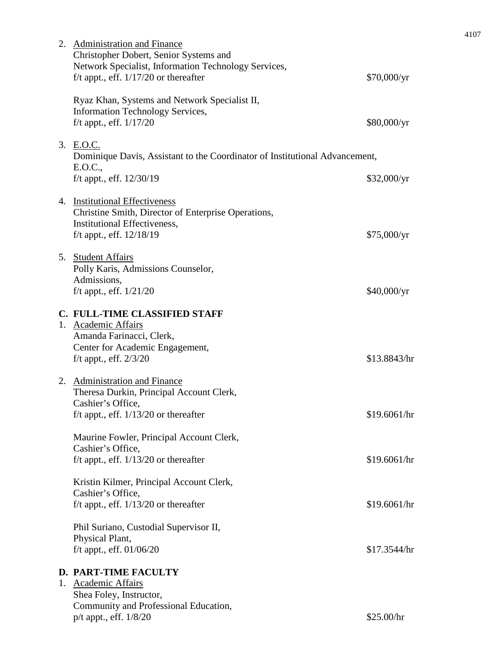| 2. Administration and Finance<br>Christopher Dobert, Senior Systems and<br>Network Specialist, Information Technology Services,<br>f/t appt., eff. $1/17/20$ or thereafter | \$70,000/yr  |
|----------------------------------------------------------------------------------------------------------------------------------------------------------------------------|--------------|
| Ryaz Khan, Systems and Network Specialist II,<br><b>Information Technology Services,</b>                                                                                   |              |
| f/t appt., eff. 1/17/20                                                                                                                                                    | \$80,000/yr  |
| 3. E.O.C.<br>Dominique Davis, Assistant to the Coordinator of Institutional Advancement,<br>E.O.C.,                                                                        |              |
| f/t appt., eff. 12/30/19                                                                                                                                                   | \$32,000/yr  |
| 4. Institutional Effectiveness<br>Christine Smith, Director of Enterprise Operations,<br>Institutional Effectiveness,                                                      |              |
| f/t appt., eff. $12/18/19$                                                                                                                                                 | \$75,000/yr  |
| 5. Student Affairs<br>Polly Karis, Admissions Counselor,<br>Admissions,                                                                                                    |              |
| f/t appt., eff. $1/21/20$                                                                                                                                                  | \$40,000/yr  |
| C. FULL-TIME CLASSIFIED STAFF<br>1. Academic Affairs<br>Amanda Farinacci, Clerk,<br>Center for Academic Engagement,<br>f/t appt., eff. $2/3/20$                            | \$13.8843/hr |
| 2. Administration and Finance<br>Theresa Durkin, Principal Account Clerk,<br>Cashier's Office,                                                                             |              |
| f/t appt., eff. $1/13/20$ or thereafter                                                                                                                                    | \$19.6061/hr |
| Maurine Fowler, Principal Account Clerk,<br>Cashier's Office,                                                                                                              |              |
| f/t appt., eff. $1/13/20$ or thereafter                                                                                                                                    | \$19.6061/hr |
| Kristin Kilmer, Principal Account Clerk,<br>Cashier's Office,<br>f/t appt., eff. $1/13/20$ or thereafter                                                                   | \$19.6061/hr |
| Phil Suriano, Custodial Supervisor II,                                                                                                                                     |              |
| Physical Plant,<br>f/t appt., eff. 01/06/20                                                                                                                                | \$17.3544/hr |
| <b>D. PART-TIME FACULTY</b>                                                                                                                                                |              |
| 1. Academic Affairs<br>Shea Foley, Instructor,                                                                                                                             |              |
| Community and Professional Education,<br>p/t appt., eff. 1/8/20                                                                                                            | \$25.00/hr   |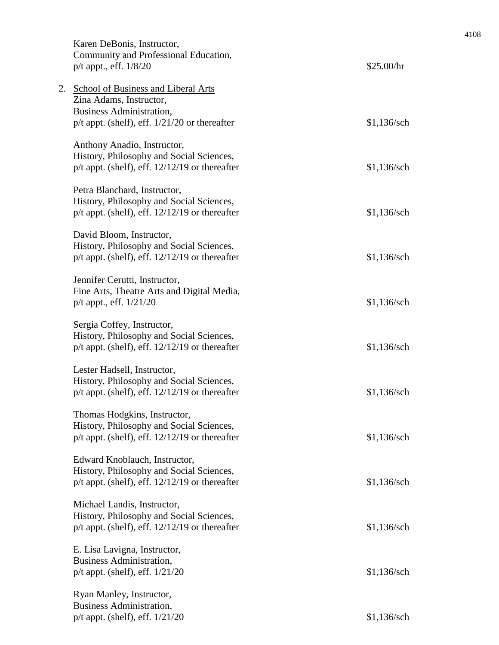|    | Karen DeBonis, Instructor,<br>Community and Professional Education,<br>$p/t$ appt., eff. $1/8/20$                                                      | \$25.00/hr    |
|----|--------------------------------------------------------------------------------------------------------------------------------------------------------|---------------|
| 2. | <b>School of Business and Liberal Arts</b><br>Zina Adams, Instructor,<br>Business Administration,<br>$p/t$ appt. (shelf), eff. $1/21/20$ or thereafter | $$1,136$ /sch |
|    | Anthony Anadio, Instructor,<br>History, Philosophy and Social Sciences,<br>$p/t$ appt. (shelf), eff. $12/12/19$ or thereafter                          | $$1,136$ /sch |
|    | Petra Blanchard, Instructor,<br>History, Philosophy and Social Sciences,<br>$p/t$ appt. (shelf), eff. $12/12/19$ or thereafter                         | $$1,136$ /sch |
|    | David Bloom, Instructor,<br>History, Philosophy and Social Sciences,<br>$p/t$ appt. (shelf), eff. $12/12/19$ or thereafter                             | \$1,136/sch   |
|    | Jennifer Cerutti, Instructor,<br>Fine Arts, Theatre Arts and Digital Media,<br>p/t appt., eff. 1/21/20                                                 | \$1,136/sch   |
|    | Sergia Coffey, Instructor,<br>History, Philosophy and Social Sciences,<br>$p/t$ appt. (shelf), eff. $12/12/19$ or thereafter                           | $$1,136$ /sch |
|    | Lester Hadsell, Instructor,<br>History, Philosophy and Social Sciences,<br>$p/t$ appt. (shelf), eff. $12/12/19$ or thereafter                          | $$1,136$ /sch |
|    | Thomas Hodgkins, Instructor,<br>History, Philosophy and Social Sciences,<br>$p/t$ appt. (shelf), eff. $12/12/19$ or thereafter                         | \$1,136/sch   |
|    | Edward Knoblauch, Instructor,<br>History, Philosophy and Social Sciences,<br>$p/t$ appt. (shelf), eff. $12/12/19$ or thereafter                        | \$1,136/sch   |
|    | Michael Landis, Instructor,<br>History, Philosophy and Social Sciences,<br>$p/t$ appt. (shelf), eff. $12/12/19$ or thereafter                          | $$1,136$ /sch |
|    | E. Lisa Lavigna, Instructor,<br>Business Administration,<br>$p/t$ appt. (shelf), eff. $1/21/20$                                                        | \$1,136/sch   |
|    | Ryan Manley, Instructor,<br><b>Business Administration,</b><br>$p/t$ appt. (shelf), eff. $1/21/20$                                                     | $$1,136$ /sch |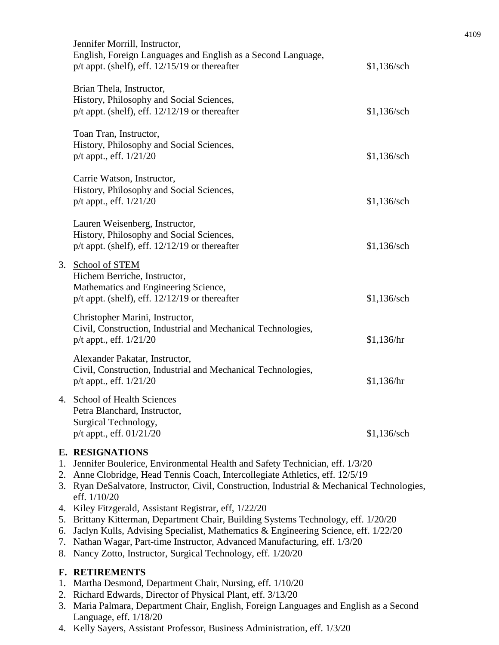|                | Jennifer Morrill, Instructor,<br>English, Foreign Languages and English as a Second Language,<br>$p/t$ appt. (shelf), eff. $12/15/19$ or thereafter                                                                                                                                                                                                                                                                                                                                                                                                                                                                                                                                     | $$1,136$ /sch |  |
|----------------|-----------------------------------------------------------------------------------------------------------------------------------------------------------------------------------------------------------------------------------------------------------------------------------------------------------------------------------------------------------------------------------------------------------------------------------------------------------------------------------------------------------------------------------------------------------------------------------------------------------------------------------------------------------------------------------------|---------------|--|
|                | Brian Thela, Instructor,<br>History, Philosophy and Social Sciences,<br>$p/t$ appt. (shelf), eff. $12/12/19$ or thereafter                                                                                                                                                                                                                                                                                                                                                                                                                                                                                                                                                              | \$1,136/sch   |  |
|                | Toan Tran, Instructor,<br>History, Philosophy and Social Sciences,<br>p/t appt., eff. 1/21/20                                                                                                                                                                                                                                                                                                                                                                                                                                                                                                                                                                                           | $$1,136$ /sch |  |
|                | Carrie Watson, Instructor,<br>History, Philosophy and Social Sciences,<br>$p/t$ appt., eff. $1/21/20$                                                                                                                                                                                                                                                                                                                                                                                                                                                                                                                                                                                   | $$1,136$ /sch |  |
|                | Lauren Weisenberg, Instructor,<br>History, Philosophy and Social Sciences,<br>$p/t$ appt. (shelf), eff. $12/12/19$ or thereafter                                                                                                                                                                                                                                                                                                                                                                                                                                                                                                                                                        | $$1,136$ /sch |  |
| 3.             | School of STEM<br>Hichem Berriche, Instructor,<br>Mathematics and Engineering Science,<br>$p/t$ appt. (shelf), eff. 12/12/19 or thereafter                                                                                                                                                                                                                                                                                                                                                                                                                                                                                                                                              | \$1,136/sch   |  |
|                | Christopher Marini, Instructor,<br>Civil, Construction, Industrial and Mechanical Technologies,<br>$p/t$ appt., eff. $1/21/20$                                                                                                                                                                                                                                                                                                                                                                                                                                                                                                                                                          | \$1,136/hr    |  |
|                | Alexander Pakatar, Instructor,<br>Civil, Construction, Industrial and Mechanical Technologies,<br>$p/t$ appt., eff. $1/21/20$                                                                                                                                                                                                                                                                                                                                                                                                                                                                                                                                                           | \$1,136/hr    |  |
|                | 4. School of Health Sciences<br>Petra Blanchard, Instructor,<br>Surgical Technology,<br>$p/t$ appt., eff. $01/21/20$                                                                                                                                                                                                                                                                                                                                                                                                                                                                                                                                                                    | $$1,136$ /sch |  |
| 3.<br>6.<br>8. | <b>E. RESIGNATIONS</b><br>1. Jennifer Boulerice, Environmental Health and Safety Technician, eff. 1/3/20<br>2. Anne Clobridge, Head Tennis Coach, Intercollegiate Athletics, eff. 12/5/19<br>Ryan DeSalvatore, Instructor, Civil, Construction, Industrial & Mechanical Technologies,<br>eff. 1/10/20<br>4. Kiley Fitzgerald, Assistant Registrar, eff, 1/22/20<br>5. Brittany Kitterman, Department Chair, Building Systems Technology, eff. 1/20/20<br>Jaclyn Kulls, Advising Specialist, Mathematics & Engineering Science, eff. 1/22/20<br>7. Nathan Wagar, Part-time Instructor, Advanced Manufacturing, eff. 1/3/20<br>Nancy Zotto, Instructor, Surgical Technology, eff. 1/20/20 |               |  |
| 1.             | F. RETIREMENTS<br>Martha Desmond, Department Chair, Nursing, eff. 1/10/20<br>2. Dispared Edwards, Director of Physical Plant, off 2/12/20                                                                                                                                                                                                                                                                                                                                                                                                                                                                                                                                               |               |  |

- 2. Richard Edwards, Director of Physical Plant, eff. 3/13/20
- 3. Maria Palmara, Department Chair, English, Foreign Languages and English as a Second Language, eff. 1/18/20 4. Kelly Sayers, Assistant Professor, Business Administration, eff. 1/3/20